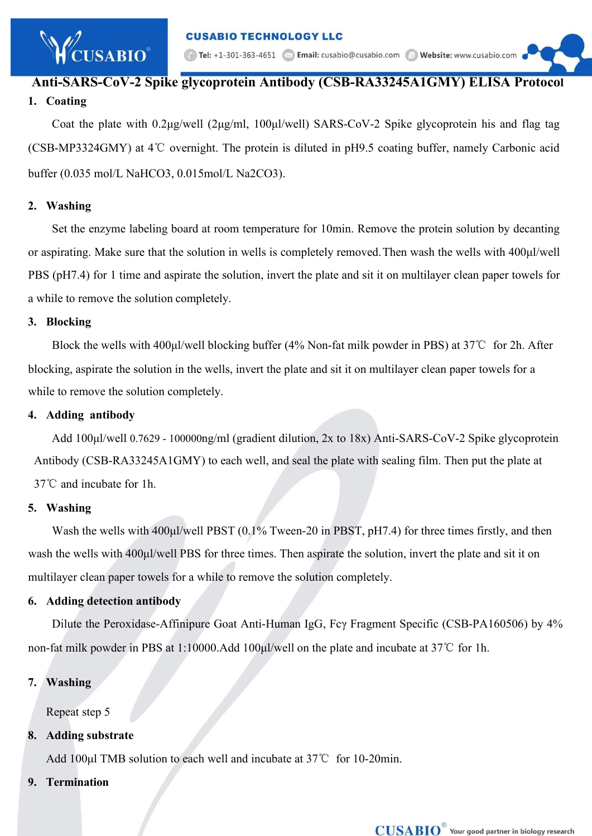1. Tel: +1-301-363-4651 | × Email: cusabio@cusabio.com | Vebsite: www.cusabio.com

# **Anti-SARS-CoV-2 Spike glycoprotein Antibody (CSB-RA33245A1GMY) ELISA Protocol 1. Coating**

Coat the plate with 0.2μg/well (2μg/ml, 100μl/well) SARS-CoV-2 Spike glycoprotein his and flag tag (CSB-MP3324GMY) at4℃ overnight. The protein is diluted in pH9.5 coating buffer, namely Carbonic acid buffer (0.035 mol/L NaHCO3, 0.015mol/L Na2CO3).

#### **2. Washing**

**SABIO** 

Set the enzyme labeling board at room temperature for 10min. Remove the protein solution by decanting or aspirating. Make sure that the solution in wells is completely removed.Then wash the wells with 400μl/well PBS (pH7.4) for 1 time and aspirate the solution, invert the plate and sit it on multilayer clean paper towels for a while to remove the solution completely.

#### **3. Blocking**

Block the wells with 400μl/well blocking buffer (4% Non-fat milk powderin PBS) at 37℃ for 2h. After blocking, aspirate the solution in the wells, invert the plate and sit it on multilayer clean paper towels for a while to remove the solution completely.

#### **4. Adding antibody**

Add 100μl/well 0.7629 - 100000ng/ml (gradient dilution, 2x to 18x) Anti-SARS-CoV-2 Spike glycoprotein Antibody (CSB-RA33245A1GMY) to each well, and seal the plate with sealing film. Then put the plate at 37℃ and incubate for 1h.

#### **5. Washing**

Wash the wells with 400µl/well PBST (0.1% Tween-20 in PBST, pH7.4) for three times firstly, and then wash the wells with 400 $\mu$ l/well PBS for three times. Then aspirate the solution, invert the plate and sit it on multilayer clean paper towels for a while to remove the solution completely.

## **6. Adding detection antibody**

Dilute the Peroxidase-Affinipure Goat Anti-Human IgG, Fcγ Fragment Specific (CSB-PA160506) by 4% non-fat milk powder in PBS at 1:10000.Add 100μl/well on the plate and incubate at 37℃ for 1h.

## **7. Washing**

Repeat step 5

## **8. Adding substrate**

Add 100μl TMB solution to each well and incubate at 37℃ for 10-20min.

## **9. Termination**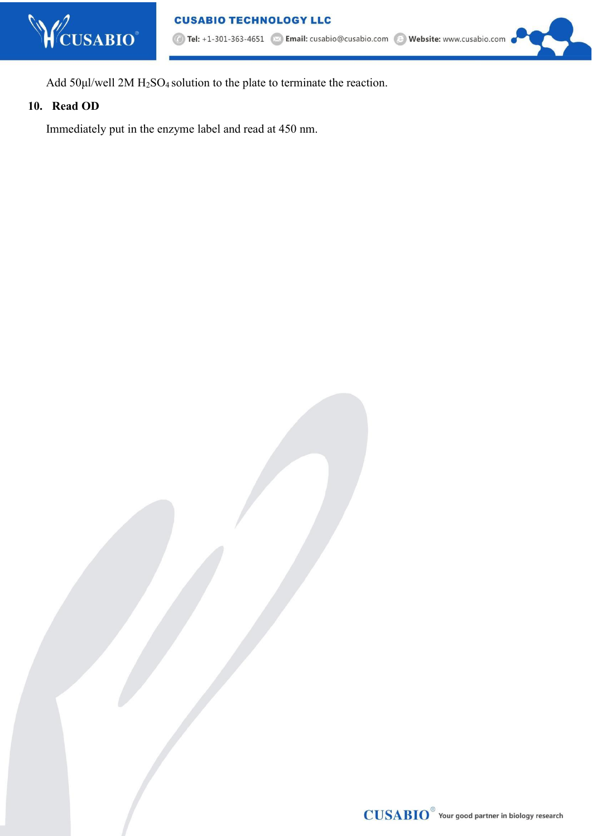

Add 50μl/well 2M H2SO<sup>4</sup> solution to the plate to terminate the reaction.

## **10. Read OD**

Immediately put in the enzyme label and read at 450 nm.